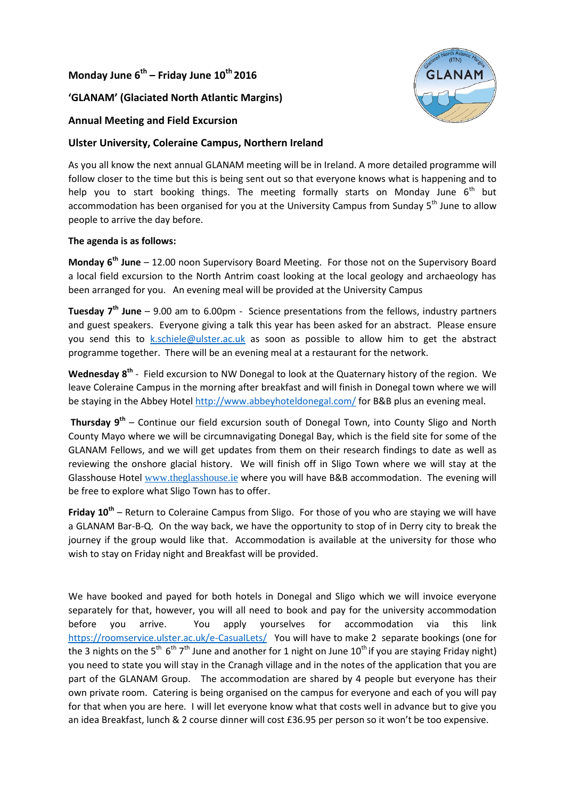## **Monday June 6th – Friday June 10th 2016**

#### **'GLANAM' (Glaciated North Atlantic Margins)**

# **Annual Meeting and Field Excursion**

### **Ulster University, Coleraine Campus, Northern Ireland**

As you all know the next annual GLANAM meeting will be in Ireland. A more detailed programme will follow closer to the time but this is being sent out so that everyone knows what is happening and to help you to start booking things. The meeting formally starts on Monday June  $6<sup>th</sup>$  but accommodation has been organised for you at the University Campus from Sunday 5<sup>th</sup> June to allow people to arrive the day before.

#### **The agenda is as follows:**

**Monday 6 th June** – 12.00 noon Supervisory Board Meeting. For those not on the Supervisory Board a local field excursion to the North Antrim coast looking at the local geology and archaeology has been arranged for you. An evening meal will be provided at the University Campus

**Tuesday 7 th June** – 9.00 am to 6.00pm - Science presentations from the fellows, industry partners and guest speakers. Everyone giving a talk this year has been asked for an abstract. Please ensure you send this to [k.schiele@ulster.ac.uk](mailto:k.schiele@ulster.ac.uk) as soon as possible to allow him to get the abstract programme together. There will be an evening meal at a restaurant for the network.

Wednesday 8<sup>th</sup> - Field excursion to NW Donegal to look at the Quaternary history of the region. We leave Coleraine Campus in the morning after breakfast and will finish in Donegal town where we will be staying in the Abbey Hotel <http://www.abbeyhoteldonegal.com/> for B&B plus an evening meal.

**Thursday 9 th** – Continue our field excursion south of Donegal Town, into County Sligo and North County Mayo where we will be circumnavigating Donegal Bay, which is the field site for some of the GLANAM Fellows, and we will get updates from them on their research findings to date as well as reviewing the onshore glacial history. We will finish off in Sligo Town where we will stay at the Glasshouse Hotel [www.theglasshouse.ie](http://www.theglasshouse.ie/) where you will have B&B accommodation. The evening will be free to explore what Sligo Town has to offer.

**Friday 10th** – Return to Coleraine Campus from Sligo. For those of you who are staying we will have a GLANAM Bar-B-Q. On the way back, we have the opportunity to stop of in Derry city to break the journey if the group would like that. Accommodation is available at the university for those who wish to stay on Friday night and Breakfast will be provided.

We have booked and payed for both hotels in Donegal and Sligo which we will invoice everyone separately for that, however, you will all need to book and pay for the university accommodation before you arrive. You apply yourselves for accommodation via this link <https://roomservice.ulster.ac.uk/e-CasualLets/>You will have to make 2 separate bookings (one for the 3 nights on the 5<sup>th</sup> 6<sup>th</sup> 7<sup>th</sup> June and another for 1 night on June 10<sup>th</sup> if you are staying Friday night) you need to state you will stay in the Cranagh village and in the notes of the application that you are part of the GLANAM Group. The accommodation are shared by 4 people but everyone has their own private room. Catering is being organised on the campus for everyone and each of you will pay for that when you are here. I will let everyone know what that costs well in advance but to give you an idea Breakfast, lunch & 2 course dinner will cost £36.95 per person so it won't be too expensive.

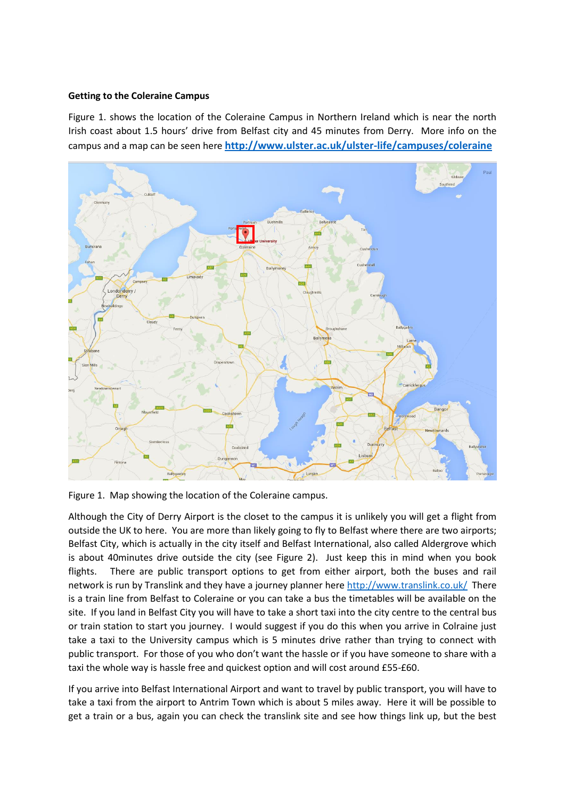#### **Getting to the Coleraine Campus**

Figure 1. shows the location of the Coleraine Campus in Northern Ireland which is near the north Irish coast about 1.5 hours' drive from Belfast city and 45 minutes from Derry. More info on the campus and a map can be seen here **<http://www.ulster.ac.uk/ulster-life/campuses/coleraine>**



Figure 1. Map showing the location of the Coleraine campus.

Although the City of Derry Airport is the closet to the campus it is unlikely you will get a flight from outside the UK to here. You are more than likely going to fly to Belfast where there are two airports; Belfast City, which is actually in the city itself and Belfast International, also called Aldergrove which is about 40minutes drive outside the city (see Figure 2). Just keep this in mind when you book flights. There are public transport options to get from either airport, both the buses and rail network is run by Translink and they have a journey planner here<http://www.translink.co.uk/>There is a train line from Belfast to Coleraine or you can take a bus the timetables will be available on the site. If you land in Belfast City you will have to take a short taxi into the city centre to the central bus or train station to start you journey. I would suggest if you do this when you arrive in Colraine just take a taxi to the University campus which is 5 minutes drive rather than trying to connect with public transport. For those of you who don't want the hassle or if you have someone to share with a taxi the whole way is hassle free and quickest option and will cost around £55-£60.

If you arrive into Belfast International Airport and want to travel by public transport, you will have to take a taxi from the airport to Antrim Town which is about 5 miles away. Here it will be possible to get a train or a bus, again you can check the translink site and see how things link up, but the best